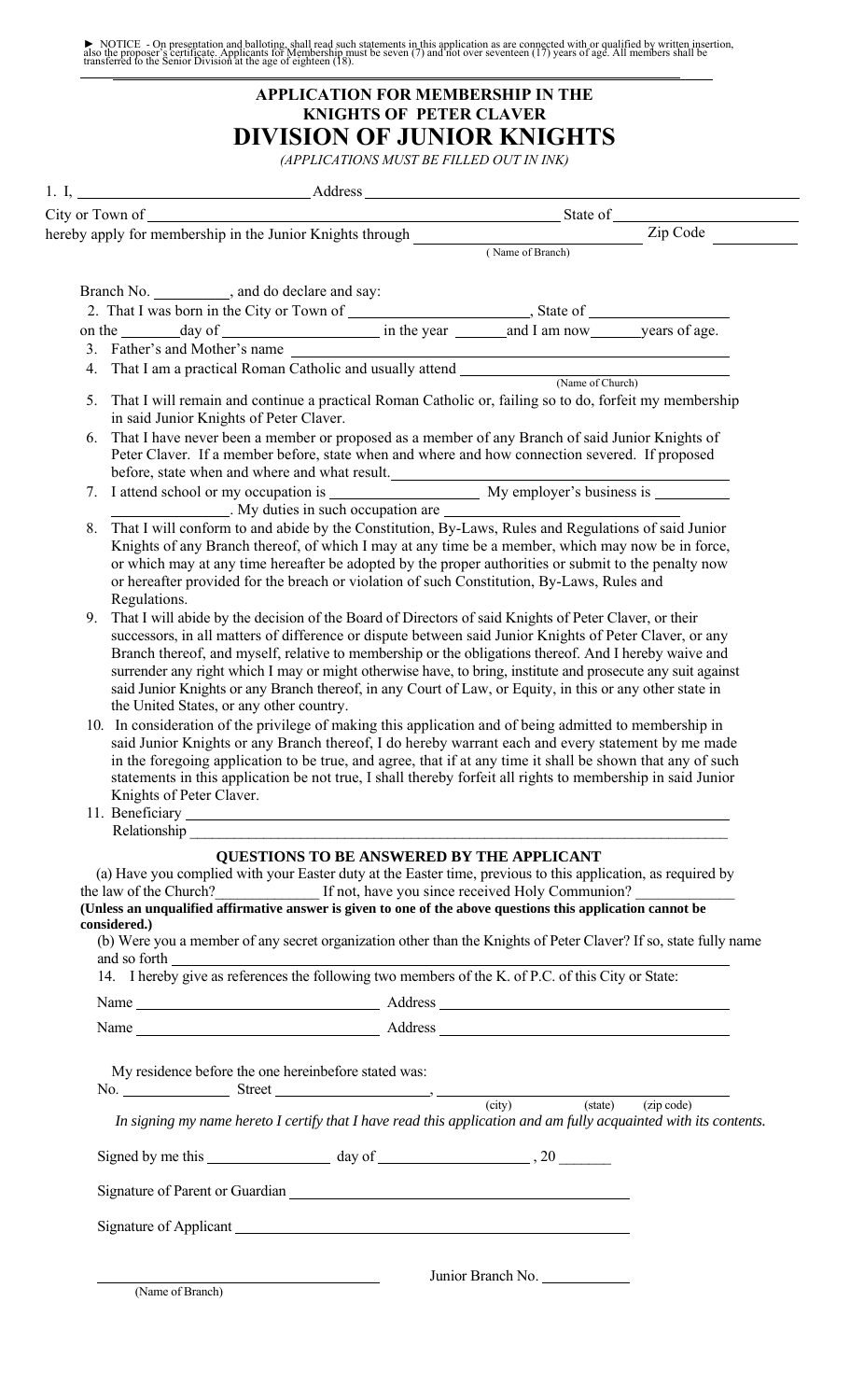NOTICE - On presentation and balloting, shall read such statements in this application as are connected with or qualified by written insertion, also the proposer's certificate. Applicants for Membership must be seven (7) and not over seventeen (17) years of age. All members shall be transferred to the Senior Division at the age of eighteen (18).

## **APPLICATION FOR MEMBERSHIP IN THE KNIGHTS OF PETER CLAVER DIVISION OF JUNIOR KNIGHTS** *(APPLICATIONS MUST BE FILLED OUT IN INK)*

| 1. I, <u>Address</u>                                                                                                                                                                                                                                                                                                     |  |                  |  |
|--------------------------------------------------------------------------------------------------------------------------------------------------------------------------------------------------------------------------------------------------------------------------------------------------------------------------|--|------------------|--|
|                                                                                                                                                                                                                                                                                                                          |  |                  |  |
|                                                                                                                                                                                                                                                                                                                          |  |                  |  |
| Branch No. _______________, and do declare and say:                                                                                                                                                                                                                                                                      |  | (Name of Branch) |  |
|                                                                                                                                                                                                                                                                                                                          |  |                  |  |
|                                                                                                                                                                                                                                                                                                                          |  |                  |  |
| 3. Father's and Mother's name                                                                                                                                                                                                                                                                                            |  |                  |  |
|                                                                                                                                                                                                                                                                                                                          |  | (Name of Church) |  |
| 5. That I will remain and continue a practical Roman Catholic or, failing so to do, forfeit my membership in said Junior<br>Knights of Peter Claver.                                                                                                                                                                     |  |                  |  |
| 6. That I have never been a member or proposed as a member of any Branch of said Junior Knights of Peter Claver. If a                                                                                                                                                                                                    |  |                  |  |
| 7. I attend school or my occupation is My employer's business is _______________<br>My duties in such occupation are <u>contained and the set of the set of the set of the set of the set of the set of the set of the set of the set of the set of the set of the set of the set of the set of the set of the set o</u> |  |                  |  |
| 8. That I will conform to and abide by the Constitution, By-Laws, Rules and Regulations of said Junior Knights of any'<br>Does also be a facilitate to see the characters which was now to information over the second of the second second second second $\alpha$                                                       |  |                  |  |

- Branch thereof, of which I may at any time be a member, which may now be in force, or which may at any time hereafter be adopted by the proper authorities or submit to the penalty now or hereafter provided for the breach or violation of such Constitution, By-Laws, Rules and Regulations.
- 9. That I will abide by the decision of the Board of Directors of said Knights of Peter Claver, or their successors, in all'matters of difference or dispute between said Junior Knights of Peter Claver, or any Branch thereof, and myself, relative"to membership or the obligations thereof. And I hereby waive and surrender any right which I may or might otherwise'have, to bring, institute and prosecute any suit against said Junior Knights or any Branch thereof, in any Court of Law, or Equity, in this or any other state in the United States, or any other country.
- 10. In consideration of the privilege of making this application and of being admitted to membership in"uckf "Lwpkqt"Mpki j w"qt"cp{"Dtcpej" y gtgqh "Kfq"j gtgd{ "y cttcpv"gcej "cpf "gxgt{ "uvcvgo gpv"d{ "o g"o cfg"kp"yj g"hqtgi qkpi "crrnlecvkqp"vq"dg"vtvg."cpf "ci tgg."yj cv"kh"cv"cp{ "vko g" k"uj cni'dg"uj qy p"y cv"cp{"qh"uwej "uvcygo gpw"kp"y ku"crrikecwkqp"dg"pqv"vtwg."Kuj cni'y gtgd{"hqthgkv"cni'tki j w"vq"o go dgtuj kr"kp"uckf" Lwpkqt'Mpki j w'qh'Rgvgt'Encxgt0
- 11. Beneficiary \_\_

Relationship

## **QUESTIONS TO BE ANSWERED BY THE APPLICANT**

(a) Have you complied with your Easter duty at the Easter time, previous to this application, as required by the law of the Church? \_\_\_\_\_\_\_\_\_\_\_\_\_\_ If not, have you since received Holy Communion? \_\_\_\_\_\_\_\_\_\_\_\_\_ **(Unless an unqualifiedaffirmative answer is given to one of the above questions this application cannot be considered.)** \*d+""Y gtg"{qw"c"o go dgt"qh"cp{"ugetgv"qti cpk cvkqp" qyj gt"yj cp"yj g"Mpki j w"qh"Rgygt"EncxgtA"Kt"wq."uvcyg"hwm{"pco g"cpf "wq"hqtyj

BBBBBBBBBBBBBBBBBBBBBBBBBBBBBBBBBBBBBBBBBBBBBBBBBBBBBBBBBBBBBBBBBBBBBBBBBBBBBBBBBBBBBBBBBBBBBBBBBBBBBBBBBBBB 1. I hereby give as references the following two members of the K. of P.C. of this City or State:

|      |                                                                       |         | (city) | (state) | $(zip\ code)$ |
|------|-----------------------------------------------------------------------|---------|--------|---------|---------------|
| No.  | My residence before the one hereinbefore stated was:<br><b>Street</b> |         |        |         |               |
| Name |                                                                       | Address |        |         |               |
| Name |                                                                       | Address |        |         |               |
|      | ຼ                                                                     |         |        |         |               |

my nans article that the bolding of the state of the state of the state of the state of the state of the state of the state of the state of the state of the state of the state of the state of the state of the state of the

Parent or Guardian

Signature of Applicant

Junior Branch No.

(Name of Branch)